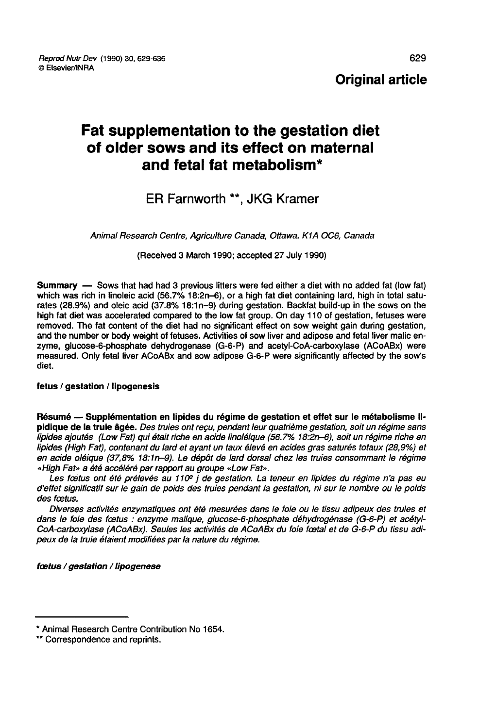Original article

# Fat supplementation to the gestation diet of older sows and its effect on maternal and fetal fat metabolism\*

## ER Farnworth \*\*, JKG Kramer

Animal Research Centre, Agriculture Canada, Ottawa. K1A OC6, Canada

(Received 3 March 1990; accepted 27 July 1990)

Summary ― Sows that had had 3 previous litters were fed either a diet with no added fat (low fat) which was rich in linoleic acid (56.7% 18:2n-6), or a high fat diet containing lard, high in total saturates (28.9%) and oleic acid (37.8% 18:1n-9) during gestation. Backfat build-up in the sows on the high fat diet was accelerated compared to the low fat group. On day 110 of gestation, fetuses were removed. The fat content of the diet had no significant effect on sow weight gain during gestation, and the number or body weight of fetuses. Activities of sow liver and adipose and fetal liver malic enzyme, glucose-6-phosphate dehydrogenase (G-6-P) and acetyl-CoA-carboxylase (ACoABx) were measured. Only fetal liver ACoABx and sow adipose G-6-P were significantly affected by the sow's diet.

#### fetus / gestation / lipogenesis

Résumé ― Supplémentation en lipides du régime de gestation et effet sur le métabolisme lipidique de la truie âgée. Des truies ont reçu, pendant leur quatrième gestation, soit un régime sans lipides ajoutés (Low Fat) qui était riche en acide linoléique (56.7% 18:2n-6), soit un régime riche en lipides (High Fat), contenant du lard et ayant un taux élevé en acides gras saturés totaux (28,9%) et en acide oléique (37,8% 18:1n-9). Le dépôt de lard dorsal chez les truies consommant le régime «High Fat» a été accéléré par rapport au groupe «Low Fat».

Les fœtus ont été prélevés au 110º j de gestation. La teneur en lipides du régime n'a pas eu d'effet significatif sur le gain de poids des truies pendant la gestation, ni sur le nombre ou le poids des foetus.

Diverses activités enzymatiques ont été mesurées dans le foie ou le tissu adipeux des truies et dans le foie des foetus : enzyme malique, glucose-6-phosphate déhydrogénase (G-6-P) et acétyl-CoA-carboxylase (ACoABx). Seules les activités de ACoABx du foie foetal et de G-6-P du tissu adipeux de la truie étaient modifiées par la nature du régime.

foetus / gestation / lipogenese

<sup>\*</sup> Animal Research Centre Contribution No 1654. \*\* Correspondence and reprints.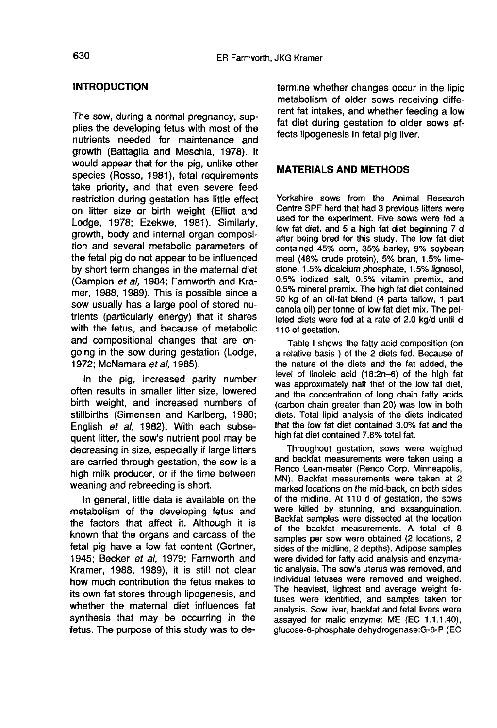### **INTRODUCTION**

The sow, during a normal pregnancy, supplies the developing fetus with most of the nutrients needed for maintenance and growth (Battaglia and Meschia, 1978). It would appear that for the pig, unlike other species (Rosso, 1981), fetal requirements take priority, and that even severe feed restriction during gestation has little effect on litter size or birth weight (Elliot and Lodge, 1978; Ezekwe, 1981). Similarly, growth, body and internal organ composition and several metabolic parameters of the fetal pig do not appear to be influenced by short term changes in the maternal diet (Campion et al, 1984; Farnworth and Kramer, 1988, 1989). This is possible since a sow usually has a large pool of stored nutrients (particularly energy) that it shares with the fetus, and because of metabolic and compositional changes that are ongoing in the sow during gestation (Lodge, 1972; McNamara et al, 1985).

In the pig, increased parity number often results in smaller litter size, lowered birth weight, and increased numbers of stillbirths (Simensen and Karlberg, 1980; English et al, 1982). With each subsequent litter, the sow's nutrient pool may be decreasing in size, especially if large litters are carried through gestation, the sow is a high milk producer, or if the time between weaning and rebreeding is short.

In general, little data is available on the metabolism of the developing fetus and the factors that affect it. Although it is known that the organs and carcass of the fetal pig have a low fat content (Gortner, 1945; Becker et al, 1979; Farnworth and Kramer, 1988, 1989), it is still not clear how much contribution the fetus makes to its own fat stores through lipogenesis, and whether the maternal diet influences fat synthesis that may be occurring in the fetus. The purpose of this study was to determine whether changes occur in the lipid metabolism of older sows receiving different fat intakes, and whether feeding a low fat diet during gestation to older sows affects lipogenesis in fetal pig liver.

#### MATERIALS AND METHODS

Yorkshire sows from the Animal Research Centre SPF herd that had 3 previous litters were used for the experiment. Five sows were fed a low fat diet, and 5 a high fat diet beginning 7 d after being bred for this study. The low fat diet contained 45% corn, 35% barley, 9% soybean meal (48% crude protein), 5% bran, 1.5% limestone, 1.5% dicalcium phosphate, 1.5% lignosol, 0.5% iodized salt, 0.5% vitamin premix, and 0.5% mineral premix. The high fat diet contained 50 kg of an oil-fat blend (4 parts tallow, 1 part canola oil) per tonne of low fat diet mix. The pelleted diets were fed at a rate of 2.0 kg/d until d 110 of gestation.

Table I shows the fatty acid composition (on a relative basis ) of the 2 diets fed. Because of the nature of the diets and the fat added, the level of linoleic acid (18:2n-6) of the high fat was approximately half that of the low fat diet, and the concentration of long chain fatty acids (carbon chain greater than 20) was low in both diets. Total lipid analysis of the diets indicated that the low fat diet contained 3.0% fat and the high fat diet contained 7.8% total fat.

Throughout gestation, sows were weighed and backfat measurements were taken using a Renco Lean-meater (Renco Corp, Minneapolis, MN). Backfat measurements were taken at 2 marked locations on the mid-back, on both sides of the midline. At 110 d of gestation, the sows were killed by stunning, and exsanguination. Backfat samples were dissected at the location of the backfat measurements. A total of 8 samples per sow were obtained (2 locations, 2 sides of the midline, 2 depths). Adipose samples were divided for fatty acid analysis and enzymatic analysis. The sow's uterus was removed, and individual fetuses were removed and weighed. The heaviest, lightest and average weight fetuses were identified, and samples taken for analysis. Sow liver, backfat and fetal livers were assayed for malic enzyme: ME (EC 1.1.1.40), glucose-6-phosphate dehydrogenase:G-6-P (EC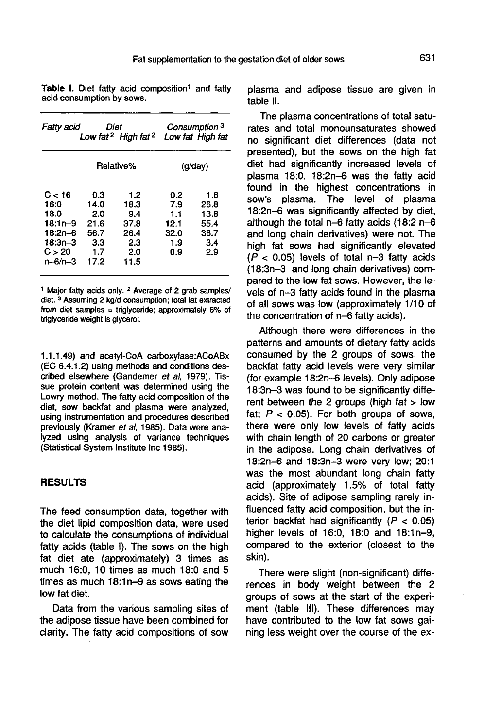Table I. Diet fatty acid composition<sup>1</sup> and fatty acid consumption by sows.

| Fatty acid                                                                             |                                                         | Diet<br>Low fat <sup>2</sup> High fat <sup>2</sup>       | Consumption <sup>3</sup><br>Low fat High fat    |                                                   |  |
|----------------------------------------------------------------------------------------|---------------------------------------------------------|----------------------------------------------------------|-------------------------------------------------|---------------------------------------------------|--|
|                                                                                        | Relative%                                               |                                                          | (q/day)                                         |                                                   |  |
| C < 16<br>16:0<br>18.0<br>18:1n–9<br>$18:2n-6$<br>$18:3n-3$<br>C > 20<br>$n - 6/n - 3$ | 0.3<br>14.0<br>2.0<br>21.6<br>56.7<br>33<br>1.7<br>17.2 | 1.2<br>18.3<br>9.4<br>37.8<br>26.4<br>2.3<br>2.0<br>11.5 | 0.2<br>7.9<br>1.1<br>12.1<br>32.0<br>1.9<br>0.9 | 1.8<br>26.8<br>13.8<br>55.4<br>38.7<br>3.4<br>2.9 |  |

<sup>1</sup> Major fatty acids only. <sup>2</sup> Average of 2 grab samples/ diet. 3 Assuming 2 kg/d consumption; total fat extracted from diet samples = triglyceride; approximately  $6\%$  of triglyceride weight is glycerol.

1.1.1.49) and acetyl-CoA carboxylase:ACoABx (EC 6.4.1.2) using methods and conditions described elsewhere (Gandemer et al, 1979). Tissue protein content was determined using the Lowry method. The fatty acid composition of the diet, sow backfat and plasma were analyzed, using instrumentation and procedures described previously (Kramer et al, 1985), Data were analyzed using analysis of variance techniques (Statistical System Institute Inc 1985).

### RESULTS

The feed consumption data, together with the diet lipid composition data, were used to calculate the consumptions of individual fatty acids (table I). The sows on the high fat diet ate (approximately) 3 times as much 16:0, 10 times as much 18:0 and 5 times as much 18:1n-9 as sows eating the low fat diet.

Data from the various sampling sites of the adipose tissue have been combined for clarity. The fatty acid compositions of sow

plasma and adipose tissue are given in table II.

The plasma concentrations of total saturates and total monounsaturates showed no significant diet differences (data not presented), but the sows on the high fat diet had significantly increased levels of plasma 18:0. 18:2n-6 was the fatty acid found in the highest concentrations in sow's plasma. The level of plasma 18:2n-6 was significantly affected by diet, although the total n-6 fatty acids (18:2 n-6 and long chain derivatives) were not. The high fat sows had significantly elevated  $(P < 0.05)$  levels of total n-3 fatty acids (18:3n-3 and long chain derivatives) compared to the low fat sows. However, the levels of n-3 fatty acids found in the plasma of all sows was low (approximately 1/10 of the concentration of n-6 fatty acids).

Although there were differences in the patterns and amounts of dietary fatty acids consumed by the 2 groups of sows, the backfat fatty acid levels were very similar (for example 18:2n-6 levels). Only adipose 18:3n-3 was found to be significantly different between the 2 groups (high fat > low fat;  $P < 0.05$ ). For both groups of sows, there were only low levels of fatty acids with chain length of 20 carbons or greater in the adipose. Long chain derivatives of 18:2n-6 and 18:3n-3 were very low; 20:1 was the most abundant long chain fatty acid (approximately 1.5% of total fatty acids). Site of adipose sampling rarely influenced fatty acid composition, but the interior backfat had significantly  $(P < 0.05)$ higher levels of 16:0, 18:0 and 18:1n-9, compared to the exterior (closest to the skin).

There were slight (non-significant) differences in body weight between the 2 groups of sows at the start of the experiment (table 111). These differences may have contributed to the low fat sows gaining less weight over the course of the ex-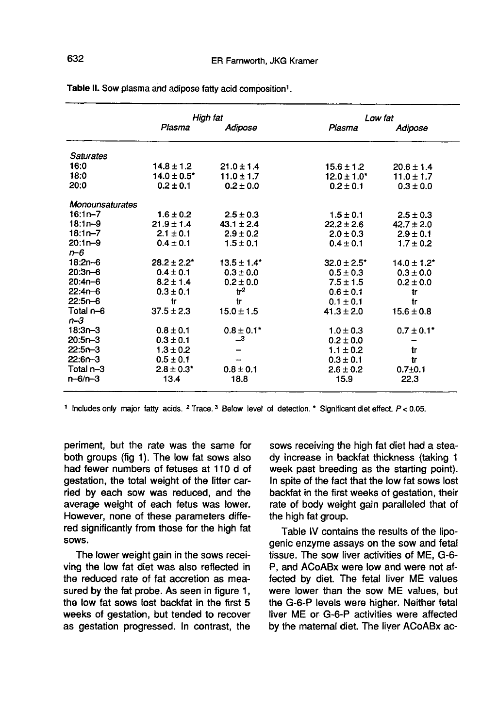|                  | High fat                    |                            | Low fat          |                            |  |
|------------------|-----------------------------|----------------------------|------------------|----------------------------|--|
|                  | Plasma                      | Adipose                    | Plasma           | Adipose                    |  |
| <b>Saturates</b> |                             |                            |                  |                            |  |
| 16:0             | $14.8 \pm 1.2$              | $21.0 \pm 1.4$             | $15.6 \pm 1.2$   | $20.6 \pm 1.4$             |  |
| 18:0             | $14.0 \pm 0.5$ <sup>*</sup> | $11.0 \pm 1.7$             | $12.0 \pm 1.0$ * | $11.0 \pm 1.7$             |  |
| 20:0             | $0.2 \pm 0.1$               | $0.2 \pm 0.0$              | $0.2 \pm 0.1$    | $0.3 \pm 0.0$              |  |
| Monounsaturates  |                             |                            |                  |                            |  |
| $16:1n - 7$      | $1.6 \pm 0.2$               | $2.5 \pm 0.3$              | $1.5 \pm 0.1$    | $2.5 \pm 0.3$              |  |
| $18:1n-9$        | $21.9 \pm 1.4$              | $43.1 \pm 2.4$             | $22.2 \pm 2.6$   | $42.7 \pm 2.0$             |  |
| $18:1n - 7$      | $2.1 \pm 0.1$               | $2.9 \pm 0.2$              | $2.0 \pm 0.3$    | $2.9 \pm 0.1$              |  |
| $20:1n-9$        | $0.4 \pm 0.1$               | $1.5 \pm 0.1$              | $0.4 \pm 0.1$    | $1.7 \pm 0.2$              |  |
| $n - 6$          |                             |                            |                  |                            |  |
| $18:2n-6$        | $28.2 \pm 2.2^*$            | $13.5 \pm 1.4$             | $32.0 \pm 2.5^*$ | $14.0 \pm 1.2$ *           |  |
| $20:3n-6$        | $0.4 \pm 0.1$               | $0.3 \pm 0.0$              | $0.5 \pm 0.3$    | $0.3 \pm 0.0$              |  |
| $20:4n - 6$      | $8.2 \pm 1.4$               | $0.2 \pm 0.0$              | $7.5 \pm 1.5$    | $0.2 \pm 0.0$              |  |
| $22:4n-6$        | $0.3 \pm 0.1$               | tr <sup>2</sup>            | $0.6 \pm 0.1$    | tr                         |  |
| $22:5n-6$        | tr                          | tr                         | $0.1 \pm 0.1$    | tr                         |  |
| Total n-6        | $37.5 \pm 2.3$              | $15.0 \pm 1.5$             | $41.3 \pm 2.0$   | $15.6 \pm 0.8$             |  |
| $n - 3$          |                             |                            |                  |                            |  |
| $18:3n-3$        | $0.8 \pm 0.1$               | $0.8 \pm 0.1$ <sup>*</sup> | $1.0 \pm 0.3$    | $0.7 \pm 0.1$ <sup>*</sup> |  |
| $20:5n-3$        | $0.3 \pm 0.1$               | $\mathbf{L}^3$             | $0.2 \pm 0.0$    | -                          |  |
| $22:5n-3$        | $1.3 \pm 0.2$               |                            | $1.1 \pm 0.2$    | tr                         |  |
| $22:6n-3$        | $0.5 \pm 0.1$               |                            | $0.3 \pm 0.1$    | tr                         |  |
| Total n-3        | $2.8 \pm 0.3^*$             | $0.8 \pm 0.1$              | $2.6 \pm 0.2$    | $0.7{\pm}0.1$              |  |
| $n - 6/n - 3$    | 13.4                        | 18.8                       | 15.9             | 22.3                       |  |

Table II. Sow plasma and adipose fatty acid composition<sup>1</sup>.

<sup>1</sup> Includes only major fatty acids. <sup>2</sup> Trace.<sup>3</sup> Below level of detection. \* Significant diet effect, P < 0.05.

periment, but the rate was the same for both groups (fig 1). The low fat sows also had fewer numbers of fetuses at 110 d of gestation, the total weight of the litter carried by each sow was reduced, and the average weight of each fetus was lower. However, none of these parameters differed significantly from those for the high fat sows.

The lower weight gain in the sows receiving the low fat diet was also reflected in the reduced rate of fat accretion as measured by the fat probe. As seen in figure 1, the low fat sows lost backfat in the first 5 weeks of gestation, but tended to recover as gestation progressed. In contrast, the

sows receiving the high fat diet had a steady increase in backfat thickness (taking 1 week past breeding as the starting point). In spite of the fact that the low fat sows lost backfat in the first weeks of gestation, their rate of body weight gain paralleled that of the high fat group.

Table IV contains the results of the lipogenic enzyme assays on the sow and fetal tissue. The sow liver activities of ME, G-6- P, and ACoABx were low and were not affected by diet. The fetal liver ME values were lower than the sow ME values, but the G-6-P levels were higher. Neither fetal liver ME or G-6-P activities were affected by the maternal diet. The liver ACoABx ac-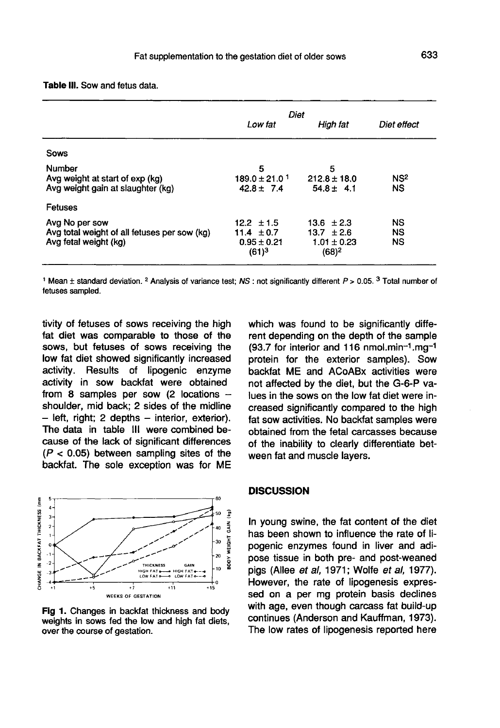|  |  | Table III. Sow and fetus data. |  |  |
|--|--|--------------------------------|--|--|
|--|--|--------------------------------|--|--|

|                                                                                         | Diet                                                            |                                                                 |                              |
|-----------------------------------------------------------------------------------------|-----------------------------------------------------------------|-----------------------------------------------------------------|------------------------------|
|                                                                                         | Low fat                                                         | High fat                                                        | Diet effect                  |
| Sows                                                                                    |                                                                 |                                                                 |                              |
| Number<br>Avg weight at start of exp (kg)<br>Avg weight gain at slaughter (kg)          | 5<br>$189.0 \pm 21.0$ <sup>1</sup><br>$42.8 \pm 7.4$            | 5<br>$212.8 \pm 18.0$<br>$54.8 \pm 4.1$                         | NS <sup>2</sup><br><b>NS</b> |
| Fetuses                                                                                 |                                                                 |                                                                 |                              |
| Avg No per sow<br>Avg total weight of all fetuses per sow (kg)<br>Avg fetal weight (kg) | $12.2 \pm 1.5$<br>11.4 $\pm$ 0.7<br>$0.95 \pm 0.21$<br>$(61)^3$ | $13.6 \pm 2.3$<br>$13.7 \pm 2.6$<br>$1.01 \pm 0.23$<br>$(68)^2$ | NS<br><b>NS</b><br><b>NS</b> |

fetuses sampled.

tivity of fetuses of sows receiving the high fat diet was comparable to those of the sows, but fetuses of sows receiving the low fat diet showed significantly increased Results of lipogenic enzyme activity in sow backfat were obtained from 8 samples per sow  $(2 \text{ locations} - \text{shoulder})$ . This model is not the midline  $-$  left, right; 2 depths  $-$  interior, exterior). The data in table III were combined because of the lack of significant differences  $(P < 0.05)$  between sampling sites of the backfat. The sole exception was for ME



Fig 1. Changes in backfat thickness and body weights in sows fed the low and high fat diets, over the course of gestation.

which was found to be significantly different depending on the depth of the sample  $(93.7$  for interior and 116 nmol.min<sup>-1</sup>.mg<sup>-1</sup> (93.7 for interior and 116 nmol.min- 1.mgprotein for the exterior samples). Sow backfat ME and ACoABx activities were not affected by the diet, but the G-6-P values in the sows on the low fat diet were increased significantly compared to the high fat sow activities. No backfat samples were obtained from the fetal carcasses because of the inability to clearly differentiate between fat and muscle layers.

#### **DISCUSSION**

In young swine, the fat content of the diet has been shown to influence the rate of lipogenic enzymes found in liver and adipose tissue in both pre- and post-weaned pigs (Allee et al, 1971; Wolfe et al, 1977). However, the rate of lipogenesis expressed on a per mg protein basis declines with age, even though carcass fat build-up continues (Anderson and Kauffman, 1973). The low rates of lipogenesis reported here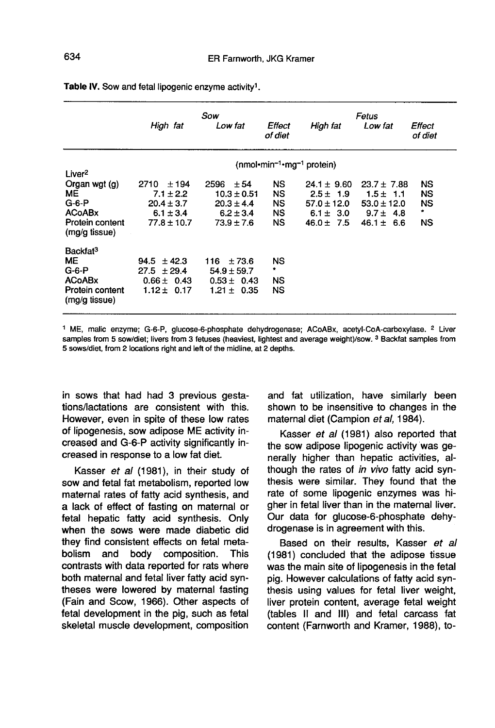|                                  | High fat                    | Sow<br>Low fat     | Effect<br>of diet | High fat        | Fetus<br>Low fat  | Effect<br>of diet |
|----------------------------------|-----------------------------|--------------------|-------------------|-----------------|-------------------|-------------------|
|                                  | $(nmol·min-1·mg-1 protein)$ |                    |                   |                 |                   |                   |
| Liver <sup>2</sup>               |                             |                    |                   |                 |                   |                   |
| Organ wgt (g)                    | ±194<br>2710                | 2596<br>± 54       | <b>NS</b>         | $24.1 \pm 9.60$ | $23.7 \pm 7.88$   | NS                |
| ME                               | $7.1 \pm 2.2$               | $10.3 \pm 0.51$    | NS                | $2.5 \pm 1.9$   | $1.5 \pm$<br>-1.1 | NS                |
| $G-6-P$                          | $20.4 \pm 3.7$              | $20.3 \pm 4.4$     | NS                | $57.0 \pm 12.0$ | $53.0 \pm 12.0$   | <b>NS</b>         |
| <b>ACoABx</b>                    | $6.1 \pm 3.4$               | $6.2 \pm 3.4$      | NS                | 6.1 $\pm$ 3.0   | $9.7 \pm 4.8$     | ۰                 |
| Protein content<br>(mg/g tissue) | $77.8 \pm 10.7$             | $73.9 \pm 7.6$     | NS.               | $46.0 \pm 7.5$  | 46.1 $\pm$<br>6.6 | ΝS                |
| Backfat <sup>3</sup>             |                             |                    |                   |                 |                   |                   |
| <b>ME</b>                        | $94.5 \pm 42.3$             | ±73.6<br>116       | <b>NS</b>         |                 |                   |                   |
| $G-6-P$                          | $27.5 \pm 29.4$             | $54.9 \pm 59.7$    | ۰                 |                 |                   |                   |
| <b>ACoABx</b>                    | $0.66 \pm 0.43$             | $0.53 \pm 0.43$    | NS                |                 |                   |                   |
| Protein content<br>(mg/g tissue) | $1.12 +$<br>0.17            | $1.21 \pm$<br>0.35 | NS                |                 |                   |                   |

Table IV. Sow and fetal lipogenic enzyme activity<sup>1</sup>.

<sup>1</sup> ME, malic enzyme; G-6-P, glucose-6-phosphate dehydrogenase; ACoABx, acetyl-CoA-carboxylase. <sup>2</sup> Liver samples from 5 sow/diet; livers from 3 fetuses (heaviest, lightest and average weight)/sow. 3 Backfat samples from 5 sows/diet, from 2 locations right and left of the midline, at 2 depths.

in sows that had had 3 previous gestations/lactations are consistent with this. However, even in spite of these low rates of lipogenesis, sow adipose ME activity increased and G-6-P activity significantly increased in response to a low fat diet.

Kasser et al (1981), in their study of sow and fetal fat metabolism, reported low maternal rates of fatty acid synthesis, and a lack of effect of fasting on maternal or fetal hepatic fatty acid synthesis. Only when the sows were made diabetic did they find consistent effects on fetal meta-<br>bolism and body composition. This bolism and body composition. contrasts with data reported for rats where both maternal and fetal liver fatty acid syntheses were lowered by maternal fasting (Fain and Scow, 1966). Other aspects of fetal development in the pig, such as fetal skeletal muscle development, composition and fat utilization, have similarly been shown to be insensitive to changes in the maternal diet (Campion et al, 1984).

Kasser et al (1981) also reported that the sow adipose lipogenic activity was generally higher than hepatic activities, although the rates of in vivo fatty acid synthesis were similar. They found that the rate of some lipogenic enzymes was higher in fetal liver than in the maternal liver. Our data for glucose-6-phosphate dehydrogenase is in agreement with this.

Based on their results, Kasser et al (1981) concluded that the adipose tissue was the main site of lipogenesis in the fetal pig. However calculations of fatty acid synthesis using values for fetal liver weight, liver protein content, average fetal weight (tables II and III) and fetal carcass fat content (Farnworth and Kramer, 1988), to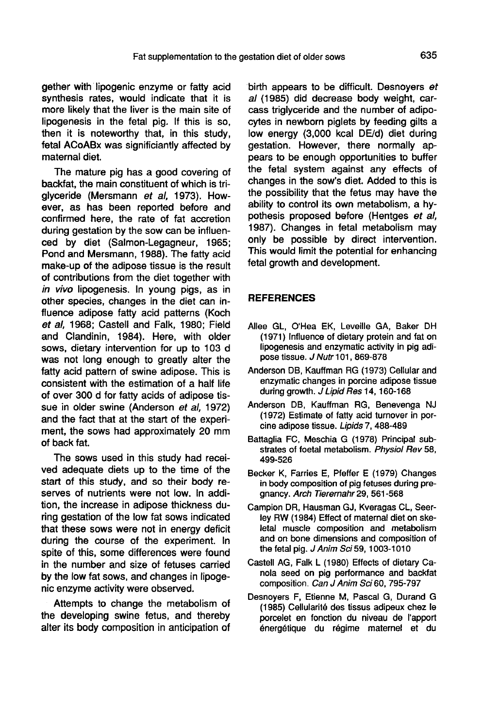gether with'lipogenic enzyme or fatty acid synthesis rates, would indicate that it is more likely that the liver is the main site of lipogenesis in the fetal pig. If this is so, then it is noteworthy that, in this study, fetal ACoABx was significiantly affected by maternal diet.

The mature pig has a good covering of backfat, the main constituent of which is triglyceride (Mersmann et al, 1973). However, as has been reported before and confirmed here, the rate of fat accretion during gestation by the sow can be influenced by diet (Salmon-Legagneur, 1965; Pond and Mersmann, 1988). The fatty acid make-up of the adipose tissue is the result of contributions from the diet together with in vivo lipogenesis. In young pigs, as in other species, changes in the diet can influence adipose fatty acid patterns (Koch et al, 1968; Castell and Falk, 1980; Field and Clandinin, 1984). Here, with older sows, dietary intervention for up to 103 d was not long enough to greatly alter the fatty acid pattern of swine adipose. This is consistent with the estimation of a half life of over 300 d for fatty acids of adipose tissue in older swine (Anderson et al, 1972) and the fact that at the start of the experiment, the sows had approximately 20 mm of back fat.

The sows used in this study had received adequate diets up to the time of the start of this study, and so their body reserves of nutrients were not low. In addition, the increase in adipose thickness during gestation of the low fat sows indicated that these sows were not in energy deficit during the course of the experiment. In spite of this, some differences were found in the number and size of fetuses carried by the low fat sows, and changes in lipogenic enzyme activity were observed.

Attempts to change the metabolism of the developing swine fetus, and thereby alter its body composition in anticipation of birth appears to be difficult. Desnoyers et al (1985) did decrease body weight, carcass triglyceride and the number of adipocytes in newborn piglets by feeding gilts a low energy (3,000 kcal DE/d) diet during gestation. However, there normally appears to be enough opportunities to buffer the fetal system against any effects of changes in the sow's diet. Added to this is the possibility that the fetus may have the ability to control its own metabolism, a hypothesis proposed before (Hentges et al, 1987). Changes in fetal metabolism may only be possible by direct intervention. This would limit the potential for enhancing fetal growth and development.

### **REFERENCES**

- Allee GL, O'Hea EK, Leveille GA, Baker DH (1971) Influence of dietary protein and fat on lipogenesis and enzymatic activity in pig adipose tissue. J Nutr 101, 869-878
- Anderson DB, Kauffman RG (1973) Cellular and enzymatic changes in porcine adipose tissue during growth. J Lipid Res 14, 160-168
- Anderson DB, Kauffman RG, Benevenga NJ (1972) Estimate of fatty acid turnover in porcine adipose tissue. Lipids 7, 488-489
- Battaglia FC, Meschia G (1978) Principal substrates of foetal metabolism. Physiol Rev 58, 499-526
- Becker K, Farries E, Pfeffer E (1979) Changes in body composition of pig fetuses during pregnancy. Arch Tieremahr29, 561-568
- Campion DR, Hausman GJ, Kveragas CL, Seerley RW (1984) Effect of maternal diet on skeletal muscle composition and metabolism and on bone dimensions and composition of the fetal pig.  $J$  Anim Sci 59, 1003-1010
- Castell AG, Falk L (1980) Effects of dietary Canola seed on pig performance and backfat composition. Can J Anim Sci 60, 795-797
- Desnoyers F, Etienne M, Pascal G, Durand G (1985) Cellularit6 des tissus adipeux chez le porcelet en fonction du niveau de I'apport énergétique du régime maternel et du